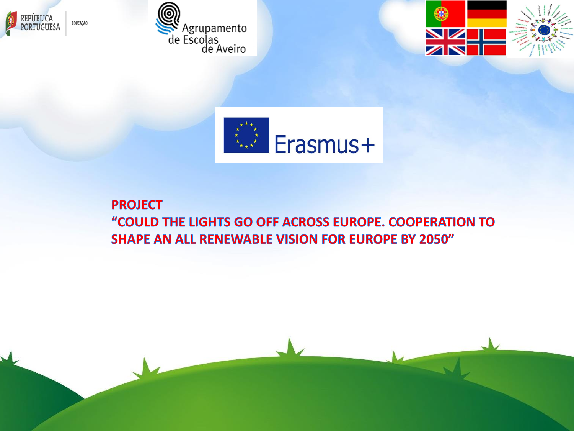







#### **PROJECT** "COULD THE LIGHTS GO OFF ACROSS EUROPE. COOPERATION TO **SHAPE AN ALL RENEWABLE VISION FOR EUROPE BY 2050"**

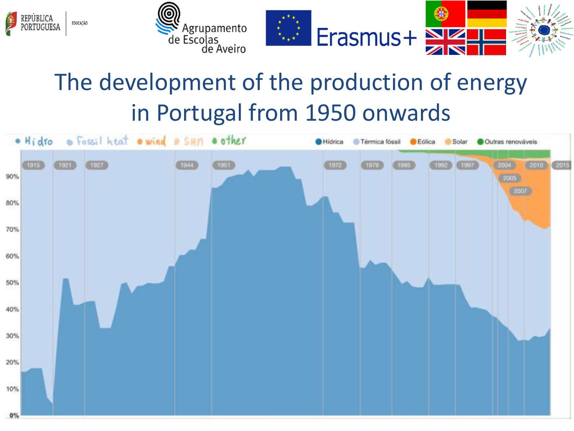





# The development of the production of energy in Portugal from 1950 onwards

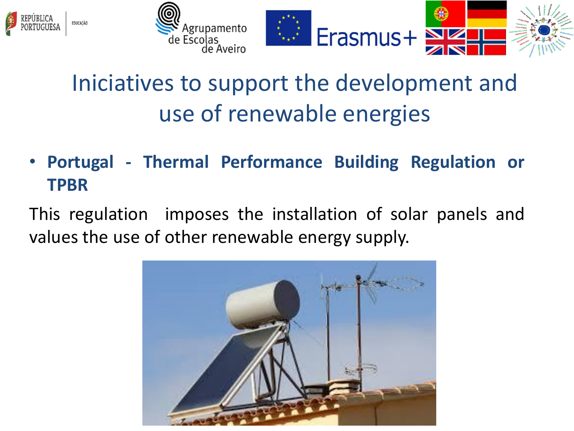



### Iniciatives to support the development and use of renewable energies

• **Portugal - Thermal Performance Building Regulation or TPBR**

This regulation imposes the installation of solar panels and values the use of other renewable energy supply.

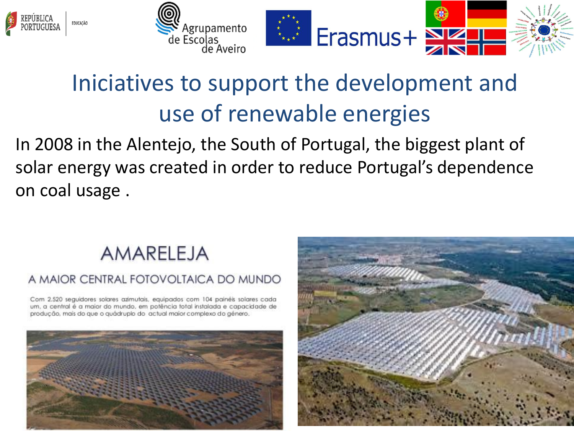



### Iniciatives to support the development and use of renewable energies

In 2008 in the Alentejo, the South of Portugal, the biggest plant of solar energy was created in order to reduce Portugal's dependence on coal usage .

#### AMARELEJA

#### A MAIOR CENTRAL FOTOVOLTAICA DO MUNDO

Com 2.520 seguidores solares azimutais, equipados com 104 painéis solares cada um, a central é a maior do mundo, em potência total instalada e capacidade de produção, mais do que o quádruplo do actual maior complexo do género.



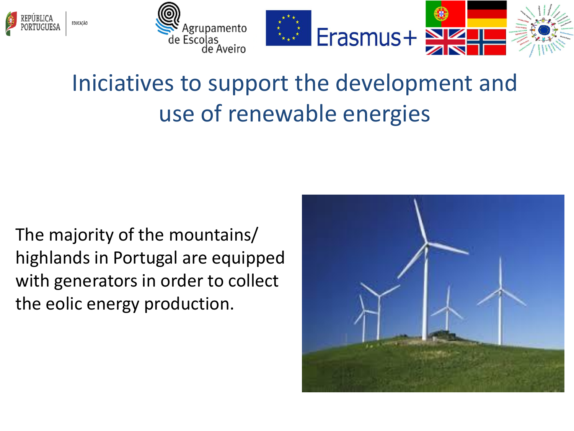



### Iniciatives to support the development and use of renewable energies

The majority of the mountains/ highlands in Portugal are equipped with generators in order to collect the eolic energy production.

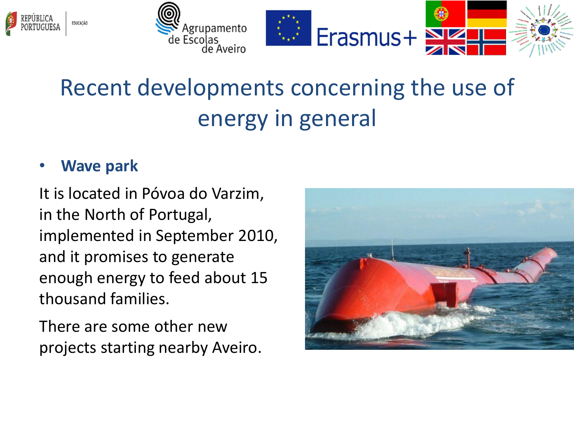



# Recent developments concerning the use of energy in general

#### • **Wave park**

It is located in Póvoa do Varzim, in the North of Portugal, implemented in September 2010, and it promises to generate enough energy to feed about 15 thousand families.

There are some other new projects starting nearby Aveiro.

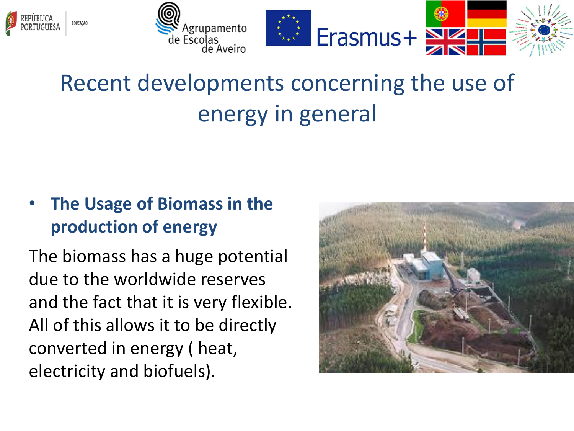



# Recent developments concerning the use of energy in general

#### • **The Usage of Biomass in the production of energy**

The biomass has a huge potential due to the worldwide reserves and the fact that it is very flexible. All of this allows it to be directly converted in energy ( heat, electricity and biofuels).

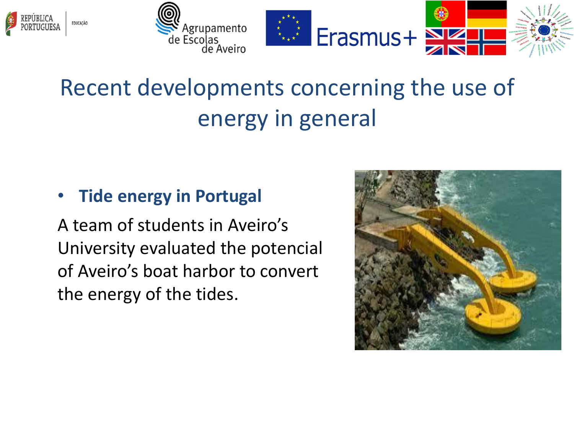



# Recent developments concerning the use of energy in general

#### • **Tide energy in Portugal**

A team of students in Aveiro's University evaluated the potencial of Aveiro's boat harbor to convert the energy of the tides.